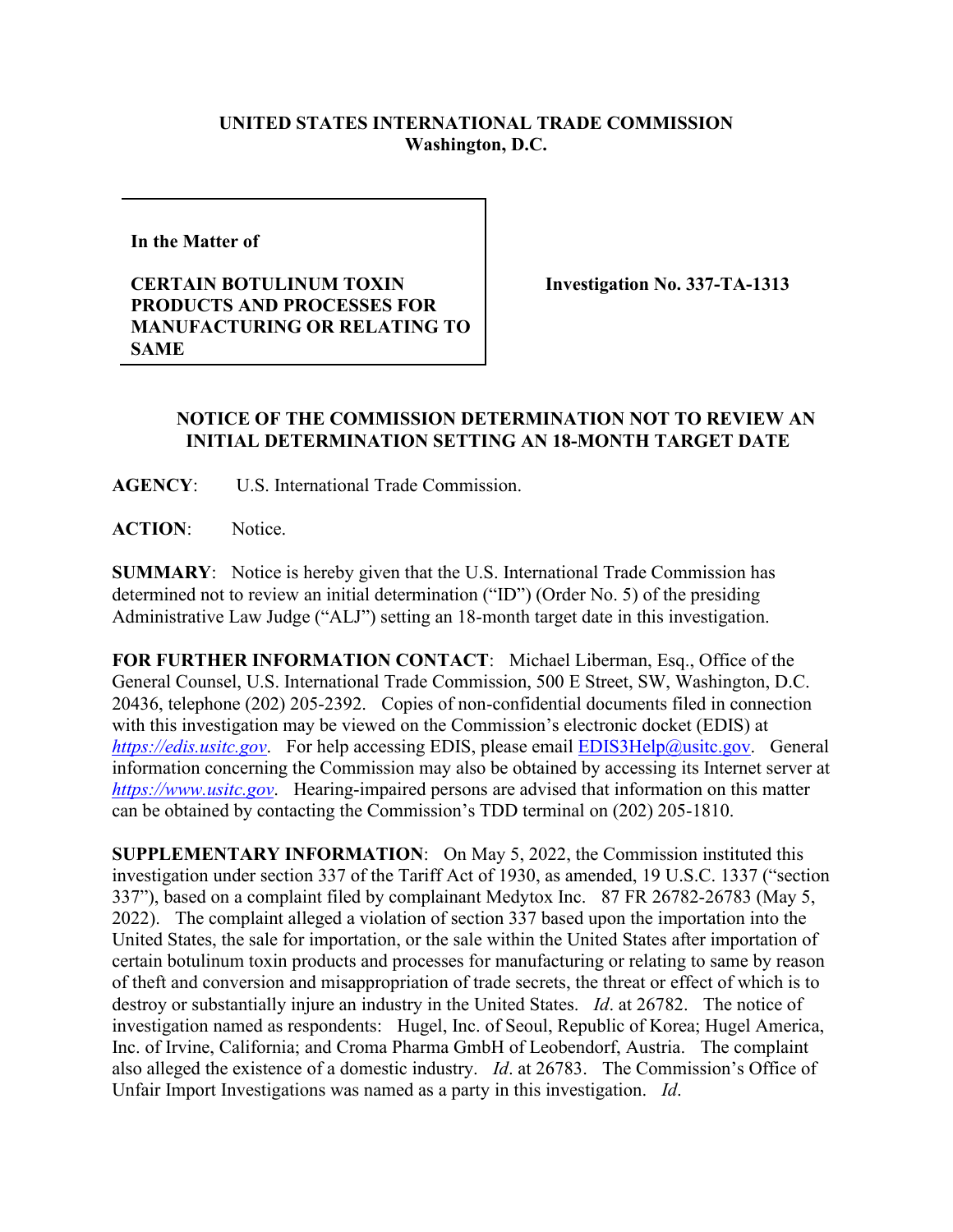## **UNITED STATES INTERNATIONAL TRADE COMMISSION Washington, D.C.**

**In the Matter of** 

**CERTAIN BOTULINUM TOXIN PRODUCTS AND PROCESSES FOR MANUFACTURING OR RELATING TO SAME**

**Investigation No. 337-TA-1313**

## **NOTICE OF THE COMMISSION DETERMINATION NOT TO REVIEW AN INITIAL DETERMINATION SETTING AN 18-MONTH TARGET DATE**

**AGENCY**: U.S. International Trade Commission.

**ACTION**: Notice.

**SUMMARY**: Notice is hereby given that the U.S. International Trade Commission has determined not to review an initial determination ("ID") (Order No. 5) of the presiding Administrative Law Judge ("ALJ") setting an 18-month target date in this investigation.

**FOR FURTHER INFORMATION CONTACT**: Michael Liberman, Esq., Office of the General Counsel, U.S. International Trade Commission, 500 E Street, SW, Washington, D.C. 20436, telephone (202) 205-2392. Copies of non-confidential documents filed in connection with this investigation may be viewed on the Commission's electronic docket (EDIS) at *[https://edis.usitc.gov](https://edis.usitc.gov/).* For help accessing EDIS, please email [EDIS3Help@usitc.gov.](mailto:EDIS3Help@usitc.gov) General information concerning the Commission may also be obtained by accessing its Internet server at *[https://www.usitc.gov](https://www.usitc.gov/)*. Hearing-impaired persons are advised that information on this matter can be obtained by contacting the Commission's TDD terminal on (202) 205-1810.

**SUPPLEMENTARY INFORMATION**: On May 5, 2022, the Commission instituted this investigation under section 337 of the Tariff Act of 1930, as amended, 19 U.S.C. 1337 ("section 337"), based on a complaint filed by complainant Medytox Inc. 87 FR 26782-26783 (May 5, 2022). The complaint alleged a violation of section 337 based upon the importation into the United States, the sale for importation, or the sale within the United States after importation of certain botulinum toxin products and processes for manufacturing or relating to same by reason of theft and conversion and misappropriation of trade secrets, the threat or effect of which is to destroy or substantially injure an industry in the United States. *Id*. at 26782. The notice of investigation named as respondents: Hugel, Inc. of Seoul, Republic of Korea; Hugel America, Inc. of Irvine, California; and Croma Pharma GmbH of Leobendorf, Austria. The complaint also alleged the existence of a domestic industry. *Id*. at 26783. The Commission's Office of Unfair Import Investigations was named as a party in this investigation. *Id*.